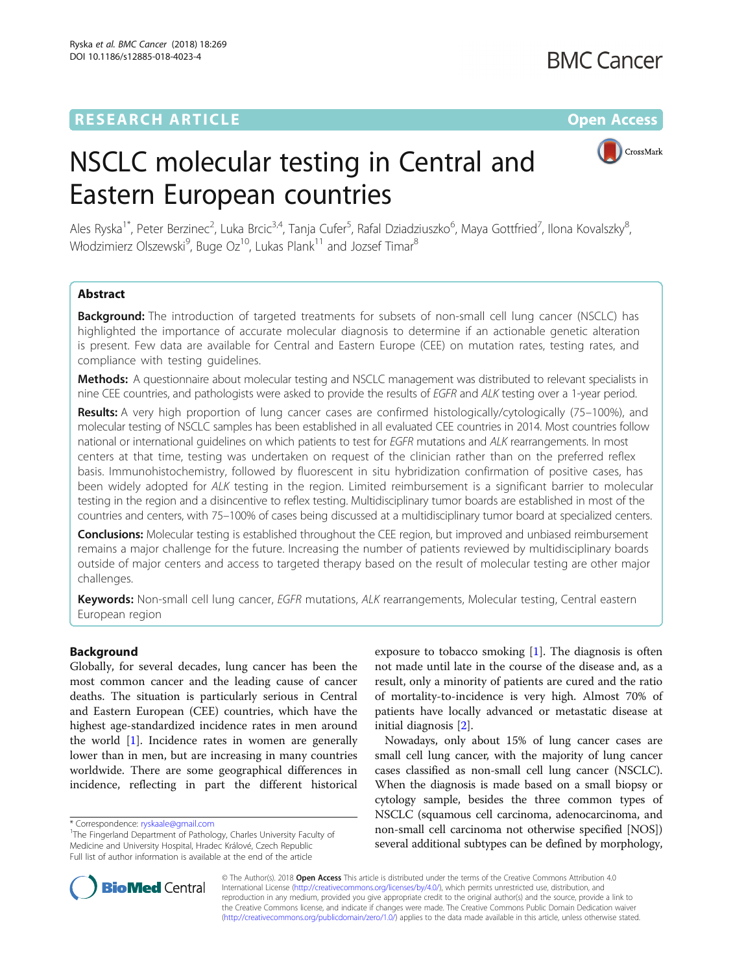# **RESEARCH ARTICLE Example 2014 12:30 The Contract of Contract ACCESS**

**BMC Cancer** 



# NSCLC molecular testing in Central and Eastern European countries

Ales Ryska<sup>1\*</sup>, Peter Berzinec<sup>2</sup>, Luka Brcic<sup>3,4</sup>, Tanja Cufer<sup>5</sup>, Rafal Dziadziuszko<sup>6</sup>, Maya Gottfried<sup>7</sup>, Ilona Kovalszky<sup>8</sup> ;<br>, Włodzimierz Olszewski $^9$ , Buge Oz $^{10}$ , Lukas Plank $^{11}$  and Jozsef Timar $^8$ 

# Abstract

**Background:** The introduction of targeted treatments for subsets of non-small cell lung cancer (NSCLC) has highlighted the importance of accurate molecular diagnosis to determine if an actionable genetic alteration is present. Few data are available for Central and Eastern Europe (CEE) on mutation rates, testing rates, and compliance with testing guidelines.

Methods: A questionnaire about molecular testing and NSCLC management was distributed to relevant specialists in nine CEE countries, and pathologists were asked to provide the results of EGFR and ALK testing over a 1-year period.

Results: A very high proportion of lung cancer cases are confirmed histologically/cytologically (75–100%), and molecular testing of NSCLC samples has been established in all evaluated CEE countries in 2014. Most countries follow national or international guidelines on which patients to test for EGFR mutations and ALK rearrangements. In most centers at that time, testing was undertaken on request of the clinician rather than on the preferred reflex basis. Immunohistochemistry, followed by fluorescent in situ hybridization confirmation of positive cases, has been widely adopted for ALK testing in the region. Limited reimbursement is a significant barrier to molecular testing in the region and a disincentive to reflex testing. Multidisciplinary tumor boards are established in most of the countries and centers, with 75–100% of cases being discussed at a multidisciplinary tumor board at specialized centers.

Conclusions: Molecular testing is established throughout the CEE region, but improved and unbiased reimbursement remains a major challenge for the future. Increasing the number of patients reviewed by multidisciplinary boards outside of major centers and access to targeted therapy based on the result of molecular testing are other major challenges.

**Keywords:** Non-small cell lung cancer, *EGFR* mutations, ALK rearrangements, Molecular testing, Central eastern European region

# Background

Globally, for several decades, lung cancer has been the most common cancer and the leading cause of cancer deaths. The situation is particularly serious in Central and Eastern European (CEE) countries, which have the highest age-standardized incidence rates in men around the world [1]. Incidence rates in women are generally lower than in men, but are increasing in many countries worldwide. There are some geographical differences in incidence, reflecting in part the different historical

exposure to tobacco smoking  $[1]$ . The diagnosis is often not made until late in the course of the disease and, as a result, only a minority of patients are cured and the ratio of mortality-to-incidence is very high. Almost 70% of patients have locally advanced or metastatic disease at initial diagnosis [2].

Nowadays, only about 15% of lung cancer cases are small cell lung cancer, with the majority of lung cancer cases classified as non-small cell lung cancer (NSCLC). When the diagnosis is made based on a small biopsy or cytology sample, besides the three common types of NSCLC (squamous cell carcinoma, adenocarcinoma, and non-small cell carcinoma not otherwise specified [NOS]) several additional subtypes can be defined by morphology,



© The Author(s). 2018 Open Access This article is distributed under the terms of the Creative Commons Attribution 4.0 International License (http://creativecommons.org/licenses/by/4.0/), which permits unrestricted use, distribution, and reproduction in any medium, provided you give appropriate credit to the original author(s) and the source, provide a link to the Creative Commons license, and indicate if changes were made. The Creative Commons Public Domain Dedication waiver (http://creativecommons.org/publicdomain/zero/1.0/) applies to the data made available in this article, unless otherwise stated.

<sup>\*</sup> Correspondence: ryskaale@gmail.com <sup>1</sup>

<sup>&</sup>lt;sup>1</sup>The Fingerland Department of Pathology, Charles University Faculty of Medicine and University Hospital, Hradec Králové, Czech Republic Full list of author information is available at the end of the article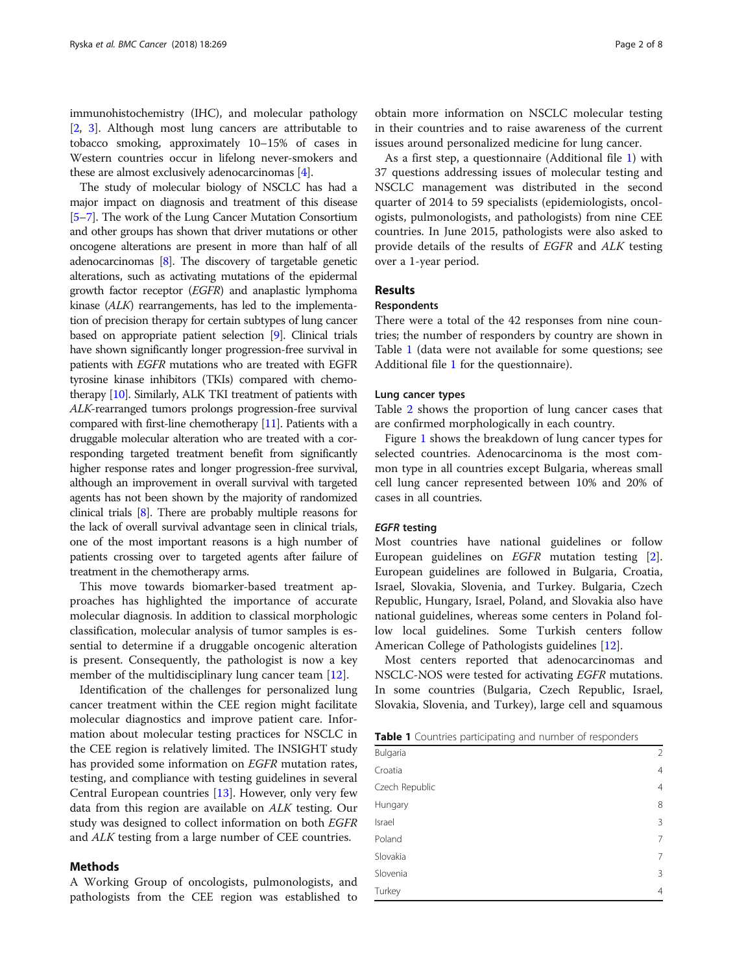immunohistochemistry (IHC), and molecular pathology [2, 3]. Although most lung cancers are attributable to tobacco smoking, approximately 10–15% of cases in Western countries occur in lifelong never-smokers and these are almost exclusively adenocarcinomas [4].

The study of molecular biology of NSCLC has had a major impact on diagnosis and treatment of this disease [5–7]. The work of the Lung Cancer Mutation Consortium and other groups has shown that driver mutations or other oncogene alterations are present in more than half of all adenocarcinomas [8]. The discovery of targetable genetic alterations, such as activating mutations of the epidermal growth factor receptor (EGFR) and anaplastic lymphoma kinase (ALK) rearrangements, has led to the implementation of precision therapy for certain subtypes of lung cancer based on appropriate patient selection [9]. Clinical trials have shown significantly longer progression-free survival in patients with EGFR mutations who are treated with EGFR tyrosine kinase inhibitors (TKIs) compared with chemotherapy [10]. Similarly, ALK TKI treatment of patients with ALK-rearranged tumors prolongs progression-free survival compared with first-line chemotherapy [11]. Patients with a druggable molecular alteration who are treated with a corresponding targeted treatment benefit from significantly higher response rates and longer progression-free survival, although an improvement in overall survival with targeted agents has not been shown by the majority of randomized clinical trials [8]. There are probably multiple reasons for the lack of overall survival advantage seen in clinical trials, one of the most important reasons is a high number of patients crossing over to targeted agents after failure of treatment in the chemotherapy arms.

This move towards biomarker-based treatment approaches has highlighted the importance of accurate molecular diagnosis. In addition to classical morphologic classification, molecular analysis of tumor samples is essential to determine if a druggable oncogenic alteration is present. Consequently, the pathologist is now a key member of the multidisciplinary lung cancer team [12].

Identification of the challenges for personalized lung cancer treatment within the CEE region might facilitate molecular diagnostics and improve patient care. Information about molecular testing practices for NSCLC in the CEE region is relatively limited. The INSIGHT study has provided some information on EGFR mutation rates, testing, and compliance with testing guidelines in several Central European countries [13]. However, only very few data from this region are available on ALK testing. Our study was designed to collect information on both EGFR and ALK testing from a large number of CEE countries.

# Methods

A Working Group of oncologists, pulmonologists, and pathologists from the CEE region was established to

obtain more information on NSCLC molecular testing in their countries and to raise awareness of the current issues around personalized medicine for lung cancer.

As a first step, a questionnaire (Additional file 1) with 37 questions addressing issues of molecular testing and NSCLC management was distributed in the second quarter of 2014 to 59 specialists (epidemiologists, oncologists, pulmonologists, and pathologists) from nine CEE countries. In June 2015, pathologists were also asked to provide details of the results of EGFR and ALK testing over a 1-year period.

### Results

### **Respondents**

There were a total of the 42 responses from nine countries; the number of responders by country are shown in Table 1 (data were not available for some questions; see Additional file 1 for the questionnaire).

# Lung cancer types

Table 2 shows the proportion of lung cancer cases that are confirmed morphologically in each country.

Figure 1 shows the breakdown of lung cancer types for selected countries. Adenocarcinoma is the most common type in all countries except Bulgaria, whereas small cell lung cancer represented between 10% and 20% of cases in all countries.

#### EGFR testing

Most countries have national guidelines or follow European guidelines on EGFR mutation testing [2]. European guidelines are followed in Bulgaria, Croatia, Israel, Slovakia, Slovenia, and Turkey. Bulgaria, Czech Republic, Hungary, Israel, Poland, and Slovakia also have national guidelines, whereas some centers in Poland follow local guidelines. Some Turkish centers follow American College of Pathologists guidelines [12].

Most centers reported that adenocarcinomas and NSCLC-NOS were tested for activating EGFR mutations. In some countries (Bulgaria, Czech Republic, Israel, Slovakia, Slovenia, and Turkey), large cell and squamous

| Table 1 Countries participating and number of responders |  |
|----------------------------------------------------------|--|
|----------------------------------------------------------|--|

| ne : coditates paracipating and namiber of responders |                |
|-------------------------------------------------------|----------------|
| Bulgaria                                              | $\overline{2}$ |
| Croatia                                               | $\overline{4}$ |
| Czech Republic                                        | $\overline{4}$ |
| Hungary                                               | 8              |
| Israel                                                | 3              |
| Poland                                                | 7              |
| Slovakia                                              | 7              |
| Slovenia                                              | 3              |
| Turkey                                                | $\overline{4}$ |
|                                                       |                |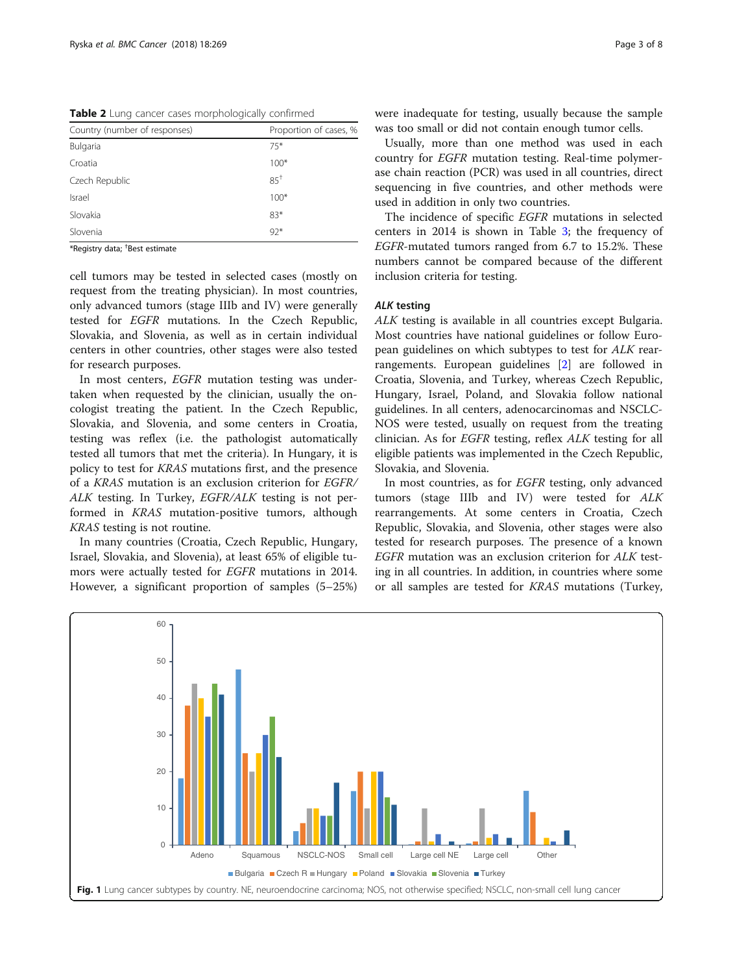Table 2 Lung cancer cases morphologically confirmed

| Country (number of responses) | Proportion of cases, % |
|-------------------------------|------------------------|
| Bulgaria                      | $75*$                  |
| Croatia                       | $100*$                 |
| Czech Republic                | $85^+$                 |
| Israel                        | $100*$                 |
| Slovakia                      | $83*$                  |
| Slovenia                      | $92*$                  |

\*Registry data; † Best estimate

cell tumors may be tested in selected cases (mostly on request from the treating physician). In most countries, only advanced tumors (stage IIIb and IV) were generally tested for EGFR mutations. In the Czech Republic, Slovakia, and Slovenia, as well as in certain individual centers in other countries, other stages were also tested for research purposes.

In most centers, EGFR mutation testing was undertaken when requested by the clinician, usually the oncologist treating the patient. In the Czech Republic, Slovakia, and Slovenia, and some centers in Croatia, testing was reflex (i.e. the pathologist automatically tested all tumors that met the criteria). In Hungary, it is policy to test for KRAS mutations first, and the presence of a KRAS mutation is an exclusion criterion for EGFR/ ALK testing. In Turkey, EGFR/ALK testing is not performed in KRAS mutation-positive tumors, although KRAS testing is not routine.

In many countries (Croatia, Czech Republic, Hungary, Israel, Slovakia, and Slovenia), at least 65% of eligible tumors were actually tested for EGFR mutations in 2014. However, a significant proportion of samples (5–25%) were inadequate for testing, usually because the sample was too small or did not contain enough tumor cells.

Usually, more than one method was used in each country for EGFR mutation testing. Real-time polymerase chain reaction (PCR) was used in all countries, direct sequencing in five countries, and other methods were used in addition in only two countries.

The incidence of specific EGFR mutations in selected centers in 2014 is shown in Table 3; the frequency of EGFR-mutated tumors ranged from 6.7 to 15.2%. These numbers cannot be compared because of the different inclusion criteria for testing.

### ALK testing

ALK testing is available in all countries except Bulgaria. Most countries have national guidelines or follow European guidelines on which subtypes to test for ALK rearrangements. European guidelines [2] are followed in Croatia, Slovenia, and Turkey, whereas Czech Republic, Hungary, Israel, Poland, and Slovakia follow national guidelines. In all centers, adenocarcinomas and NSCLC-NOS were tested, usually on request from the treating clinician. As for EGFR testing, reflex ALK testing for all eligible patients was implemented in the Czech Republic, Slovakia, and Slovenia.

In most countries, as for EGFR testing, only advanced tumors (stage IIIb and IV) were tested for ALK rearrangements. At some centers in Croatia, Czech Republic, Slovakia, and Slovenia, other stages were also tested for research purposes. The presence of a known EGFR mutation was an exclusion criterion for ALK testing in all countries. In addition, in countries where some or all samples are tested for KRAS mutations (Turkey,

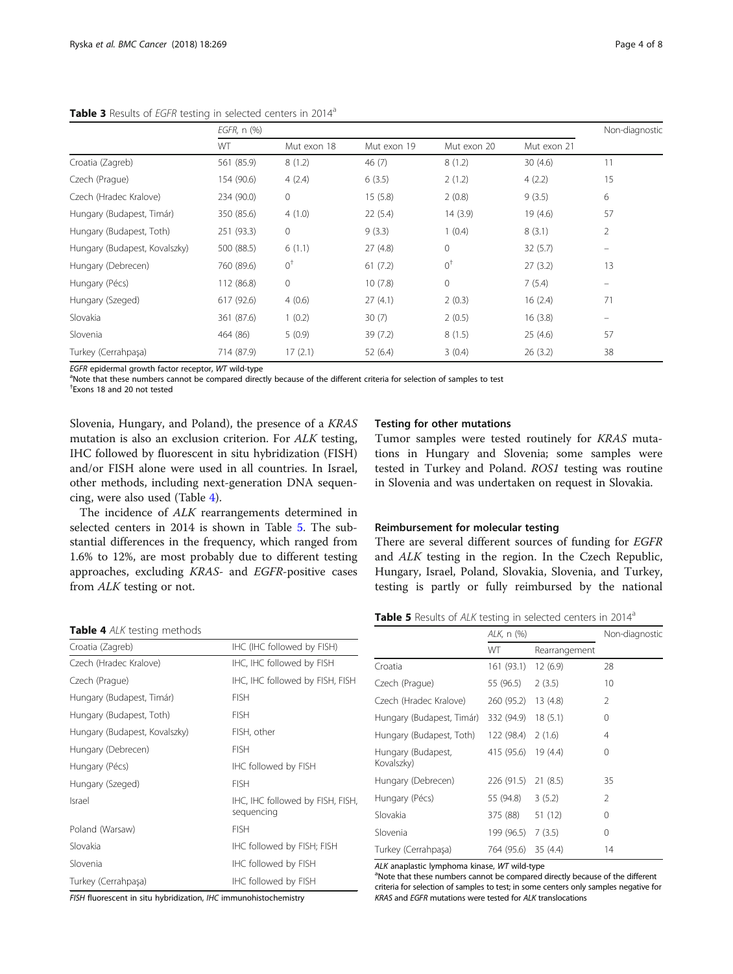|                               | $EGFR$ , n $(%)$ |               |             |               | Non-diagnostic |          |
|-------------------------------|------------------|---------------|-------------|---------------|----------------|----------|
|                               | WT               | Mut exon 18   | Mut exon 19 | Mut exon 20   | Mut exon 21    |          |
| Croatia (Zagreb)              | 561 (85.9)       | 8(1.2)        | 46(7)       | 8(1.2)        | 30(4.6)        | 11       |
| Czech (Prague)                | 154 (90.6)       | 4(2.4)        | 6(3.5)      | 2(1.2)        | 4(2.2)         | 15       |
| Czech (Hradec Kralove)        | 234 (90.0)       | 0             | 15(5.8)     | 2(0.8)        | 9(3.5)         | 6        |
| Hungary (Budapest, Timár)     | 350 (85.6)       | 4(1.0)        | 22(5.4)     | 14(3.9)       | 19 (4.6)       | 57       |
| Hungary (Budapest, Toth)      | 251 (93.3)       | $\mathbf{0}$  | 9(3.3)      | 1(0.4)        | 8(3.1)         | 2        |
| Hungary (Budapest, Kovalszky) | 500 (88.5)       | 6(1.1)        | 27(4.8)     | 0             | 32(5.7)        | -        |
| Hungary (Debrecen)            | 760 (89.6)       | $0^{\dagger}$ | 61(7.2)     | $0^{\dagger}$ | 27(3.2)        | 13       |
| Hungary (Pécs)                | 112 (86.8)       | $\mathbf{0}$  | 10(7.8)     | $\mathbf{0}$  | 7(5.4)         | $\equiv$ |
| Hungary (Szeged)              | 617 (92.6)       | 4(0.6)        | 27(4.1)     | 2(0.3)        | 16(2.4)        | 71       |
| Slovakia                      | 361 (87.6)       | 1(0.2)        | 30(7)       | 2(0.5)        | 16(3.8)        |          |
| Slovenia                      | 464 (86)         | 5(0.9)        | 39(7.2)     | 8(1.5)        | 25(4.6)        | 57       |
| Turkey (Cerrahpaşa)           | 714 (87.9)       | 17(2.1)       | 52(6.4)     | 3(0.4)        | 26(3.2)        | 38       |

Table 3 Results of EGFR testing in selected centers in 2014<sup>a</sup>

EGFR epidermal growth factor receptor, WT wild-type

<sup>a</sup>Note that these numbers cannot be compared directly because of the different criteria for selection of samples to test

† Exons 18 and 20 not tested

Slovenia, Hungary, and Poland), the presence of a KRAS mutation is also an exclusion criterion. For ALK testing, IHC followed by fluorescent in situ hybridization (FISH) and/or FISH alone were used in all countries. In Israel, other methods, including next-generation DNA sequencing, were also used (Table 4).

The incidence of ALK rearrangements determined in selected centers in 2014 is shown in Table 5. The substantial differences in the frequency, which ranged from 1.6% to 12%, are most probably due to different testing approaches, excluding KRAS- and EGFR-positive cases from ALK testing or not.

# Table 4 ALK testing methods

| Croatia (Zagreb)              | IHC (IHC followed by FISH)                     |
|-------------------------------|------------------------------------------------|
| Czech (Hradec Kralove)        | IHC, IHC followed by FISH                      |
| Czech (Prague)                | IHC, IHC followed by FISH, FISH                |
| Hungary (Budapest, Timár)     | <b>FISH</b>                                    |
| Hungary (Budapest, Toth)      | <b>FISH</b>                                    |
| Hungary (Budapest, Kovalszky) | FISH, other                                    |
| Hungary (Debrecen)            | <b>FISH</b>                                    |
| Hungary (Pécs)                | IHC followed by FISH                           |
| Hungary (Szeged)              | <b>FISH</b>                                    |
| Israel                        | IHC, IHC followed by FISH, FISH,<br>sequencing |
| Poland (Warsaw)               | <b>FISH</b>                                    |
| Slovakia                      | IHC followed by FISH; FISH                     |
| Slovenia                      | IHC followed by FISH                           |
| Turkey (Cerrahpaşa)           | IHC followed by FISH                           |

Testing for other mutations

Tumor samples were tested routinely for KRAS mutations in Hungary and Slovenia; some samples were tested in Turkey and Poland. ROS1 testing was routine in Slovenia and was undertaken on request in Slovakia.

# Reimbursement for molecular testing

There are several different sources of funding for EGFR and ALK testing in the region. In the Czech Republic, Hungary, Israel, Poland, Slovakia, Slovenia, and Turkey, testing is partly or fully reimbursed by the national

|                                  | ALK, n (%) | Non-diagnostic |                |
|----------------------------------|------------|----------------|----------------|
|                                  | WТ         | Rearrangement  |                |
| Croatia                          | 161(93.1)  | 12(6.9)        | 28             |
| Czech (Prague)                   | 55 (96.5)  | 2(3.5)         | 10             |
| Czech (Hradec Kralove)           | 260 (95.2) | 13(4.8)        | 2              |
| Hungary (Budapest, Timár)        | 332 (94.9) | 18(5.1)        | 0              |
| Hungary (Budapest, Toth)         | 122 (98.4) | 2(1.6)         | 4              |
| Hungary (Budapest,<br>Kovalszky) | 415 (95.6) | 19(4.4)        | 0              |
| Hungary (Debrecen)               | 226 (91.5) | 21 (8.5)       | 35             |
| Hungary (Pécs)                   | 55 (94.8)  | 3(5.2)         | $\mathfrak{D}$ |
| Slovakia                         | 375 (88)   | 51 (12)        | 0              |
| Slovenia                         | 199 (96.5) | 7(3.5)         | 0              |
| Turkey (Cerrahpaşa)              | 764 (95.6) | 35(4.4)        | 14             |

 $ALK$  anaplastic lymphoma kinase, WT wild-type

<sup>a</sup>Note that these numbers cannot be compared directly because of the different criteria for selection of samples to test; in some centers only samples negative for KRAS and EGFR mutations were tested for ALK translocations

FISH fluorescent in situ hybridization, IHC immunohistochemistry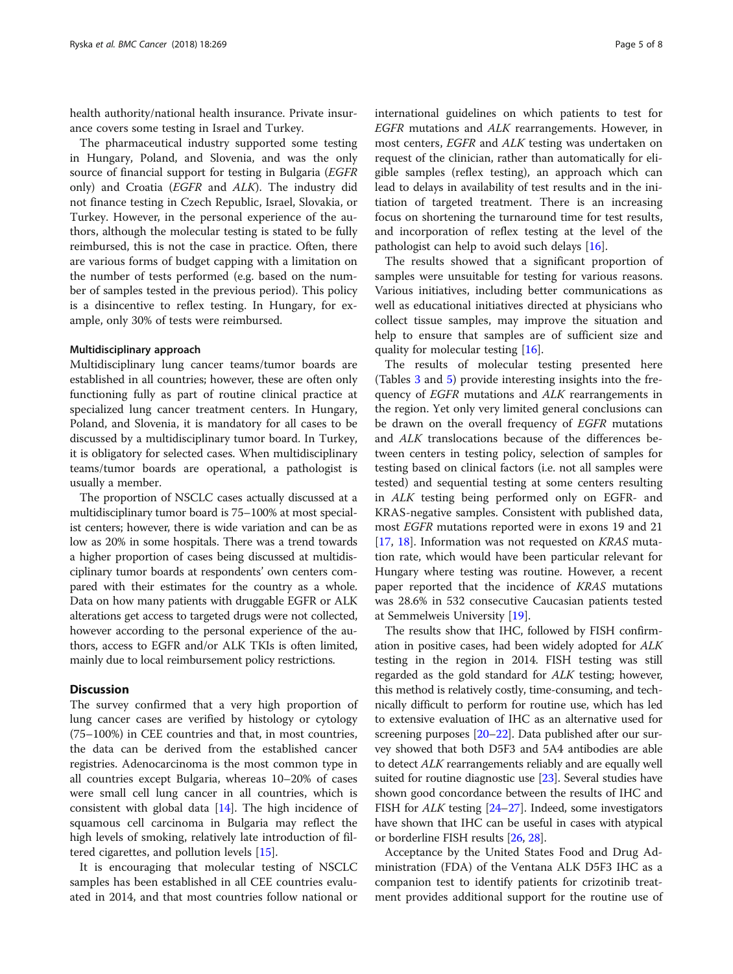health authority/national health insurance. Private insurance covers some testing in Israel and Turkey.

The pharmaceutical industry supported some testing in Hungary, Poland, and Slovenia, and was the only source of financial support for testing in Bulgaria (EGFR only) and Croatia (EGFR and ALK). The industry did not finance testing in Czech Republic, Israel, Slovakia, or Turkey. However, in the personal experience of the authors, although the molecular testing is stated to be fully reimbursed, this is not the case in practice. Often, there are various forms of budget capping with a limitation on the number of tests performed (e.g. based on the number of samples tested in the previous period). This policy is a disincentive to reflex testing. In Hungary, for example, only 30% of tests were reimbursed.

#### Multidisciplinary approach

Multidisciplinary lung cancer teams/tumor boards are established in all countries; however, these are often only functioning fully as part of routine clinical practice at specialized lung cancer treatment centers. In Hungary, Poland, and Slovenia, it is mandatory for all cases to be discussed by a multidisciplinary tumor board. In Turkey, it is obligatory for selected cases. When multidisciplinary teams/tumor boards are operational, a pathologist is usually a member.

The proportion of NSCLC cases actually discussed at a multidisciplinary tumor board is 75–100% at most specialist centers; however, there is wide variation and can be as low as 20% in some hospitals. There was a trend towards a higher proportion of cases being discussed at multidisciplinary tumor boards at respondents' own centers compared with their estimates for the country as a whole. Data on how many patients with druggable EGFR or ALK alterations get access to targeted drugs were not collected, however according to the personal experience of the authors, access to EGFR and/or ALK TKIs is often limited, mainly due to local reimbursement policy restrictions.

# **Discussion**

The survey confirmed that a very high proportion of lung cancer cases are verified by histology or cytology (75–100%) in CEE countries and that, in most countries, the data can be derived from the established cancer registries. Adenocarcinoma is the most common type in all countries except Bulgaria, whereas 10–20% of cases were small cell lung cancer in all countries, which is consistent with global data [14]. The high incidence of squamous cell carcinoma in Bulgaria may reflect the high levels of smoking, relatively late introduction of filtered cigarettes, and pollution levels [15].

It is encouraging that molecular testing of NSCLC samples has been established in all CEE countries evaluated in 2014, and that most countries follow national or international guidelines on which patients to test for EGFR mutations and ALK rearrangements. However, in most centers, EGFR and ALK testing was undertaken on request of the clinician, rather than automatically for eligible samples (reflex testing), an approach which can lead to delays in availability of test results and in the initiation of targeted treatment. There is an increasing focus on shortening the turnaround time for test results, and incorporation of reflex testing at the level of the pathologist can help to avoid such delays [16].

The results showed that a significant proportion of samples were unsuitable for testing for various reasons. Various initiatives, including better communications as well as educational initiatives directed at physicians who collect tissue samples, may improve the situation and help to ensure that samples are of sufficient size and quality for molecular testing [16].

The results of molecular testing presented here (Tables 3 and 5) provide interesting insights into the frequency of EGFR mutations and ALK rearrangements in the region. Yet only very limited general conclusions can be drawn on the overall frequency of EGFR mutations and ALK translocations because of the differences between centers in testing policy, selection of samples for testing based on clinical factors (i.e. not all samples were tested) and sequential testing at some centers resulting in ALK testing being performed only on EGFR- and KRAS-negative samples. Consistent with published data, most EGFR mutations reported were in exons 19 and 21 [17, 18]. Information was not requested on *KRAS* mutation rate, which would have been particular relevant for Hungary where testing was routine. However, a recent paper reported that the incidence of KRAS mutations was 28.6% in 532 consecutive Caucasian patients tested at Semmelweis University [19].

The results show that IHC, followed by FISH confirmation in positive cases, had been widely adopted for ALK testing in the region in 2014. FISH testing was still regarded as the gold standard for ALK testing; however, this method is relatively costly, time-consuming, and technically difficult to perform for routine use, which has led to extensive evaluation of IHC as an alternative used for screening purposes [20–22]. Data published after our survey showed that both D5F3 and 5A4 antibodies are able to detect ALK rearrangements reliably and are equally well suited for routine diagnostic use [23]. Several studies have shown good concordance between the results of IHC and FISH for ALK testing [24–27]. Indeed, some investigators have shown that IHC can be useful in cases with atypical or borderline FISH results [26, 28].

Acceptance by the United States Food and Drug Administration (FDA) of the Ventana ALK D5F3 IHC as a companion test to identify patients for crizotinib treatment provides additional support for the routine use of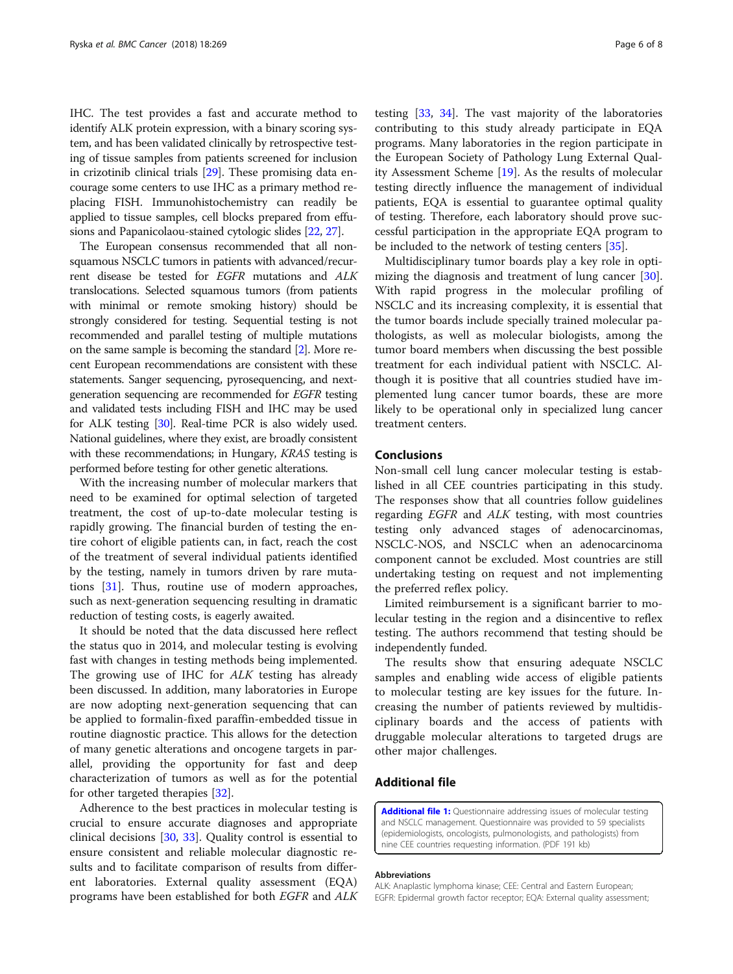IHC. The test provides a fast and accurate method to identify ALK protein expression, with a binary scoring system, and has been validated clinically by retrospective testing of tissue samples from patients screened for inclusion in crizotinib clinical trials [29]. These promising data encourage some centers to use IHC as a primary method replacing FISH. Immunohistochemistry can readily be applied to tissue samples, cell blocks prepared from effusions and Papanicolaou-stained cytologic slides [22, 27].

The European consensus recommended that all nonsquamous NSCLC tumors in patients with advanced/recurrent disease be tested for EGFR mutations and ALK translocations. Selected squamous tumors (from patients with minimal or remote smoking history) should be strongly considered for testing. Sequential testing is not recommended and parallel testing of multiple mutations on the same sample is becoming the standard [2]. More recent European recommendations are consistent with these statements. Sanger sequencing, pyrosequencing, and nextgeneration sequencing are recommended for EGFR testing and validated tests including FISH and IHC may be used for ALK testing [30]. Real-time PCR is also widely used. National guidelines, where they exist, are broadly consistent with these recommendations; in Hungary, KRAS testing is performed before testing for other genetic alterations.

With the increasing number of molecular markers that need to be examined for optimal selection of targeted treatment, the cost of up-to-date molecular testing is rapidly growing. The financial burden of testing the entire cohort of eligible patients can, in fact, reach the cost of the treatment of several individual patients identified by the testing, namely in tumors driven by rare mutations [31]. Thus, routine use of modern approaches, such as next-generation sequencing resulting in dramatic reduction of testing costs, is eagerly awaited.

It should be noted that the data discussed here reflect the status quo in 2014, and molecular testing is evolving fast with changes in testing methods being implemented. The growing use of IHC for ALK testing has already been discussed. In addition, many laboratories in Europe are now adopting next-generation sequencing that can be applied to formalin-fixed paraffin-embedded tissue in routine diagnostic practice. This allows for the detection of many genetic alterations and oncogene targets in parallel, providing the opportunity for fast and deep characterization of tumors as well as for the potential for other targeted therapies [32].

Adherence to the best practices in molecular testing is crucial to ensure accurate diagnoses and appropriate clinical decisions [30, 33]. Quality control is essential to ensure consistent and reliable molecular diagnostic results and to facilitate comparison of results from different laboratories. External quality assessment (EQA) programs have been established for both EGFR and ALK testing [33, 34]. The vast majority of the laboratories contributing to this study already participate in EQA programs. Many laboratories in the region participate in the European Society of Pathology Lung External Quality Assessment Scheme [19]. As the results of molecular testing directly influence the management of individual patients, EQA is essential to guarantee optimal quality of testing. Therefore, each laboratory should prove successful participation in the appropriate EQA program to be included to the network of testing centers [35].

Multidisciplinary tumor boards play a key role in optimizing the diagnosis and treatment of lung cancer [30]. With rapid progress in the molecular profiling of NSCLC and its increasing complexity, it is essential that the tumor boards include specially trained molecular pathologists, as well as molecular biologists, among the tumor board members when discussing the best possible treatment for each individual patient with NSCLC. Although it is positive that all countries studied have implemented lung cancer tumor boards, these are more likely to be operational only in specialized lung cancer treatment centers.

# Conclusions

Non-small cell lung cancer molecular testing is established in all CEE countries participating in this study. The responses show that all countries follow guidelines regarding EGFR and ALK testing, with most countries testing only advanced stages of adenocarcinomas, NSCLC-NOS, and NSCLC when an adenocarcinoma component cannot be excluded. Most countries are still undertaking testing on request and not implementing the preferred reflex policy.

Limited reimbursement is a significant barrier to molecular testing in the region and a disincentive to reflex testing. The authors recommend that testing should be independently funded.

The results show that ensuring adequate NSCLC samples and enabling wide access of eligible patients to molecular testing are key issues for the future. Increasing the number of patients reviewed by multidisciplinary boards and the access of patients with druggable molecular alterations to targeted drugs are other major challenges.

# Additional file

Additional file 1: Questionnaire addressing issues of molecular testing and NSCLC management. Questionnaire was provided to 59 specialists (epidemiologists, oncologists, pulmonologists, and pathologists) from nine CEE countries requesting information. (PDF 191 kb)

#### Abbreviations

ALK: Anaplastic lymphoma kinase; CEE: Central and Eastern European; EGFR: Epidermal growth factor receptor; EQA: External quality assessment;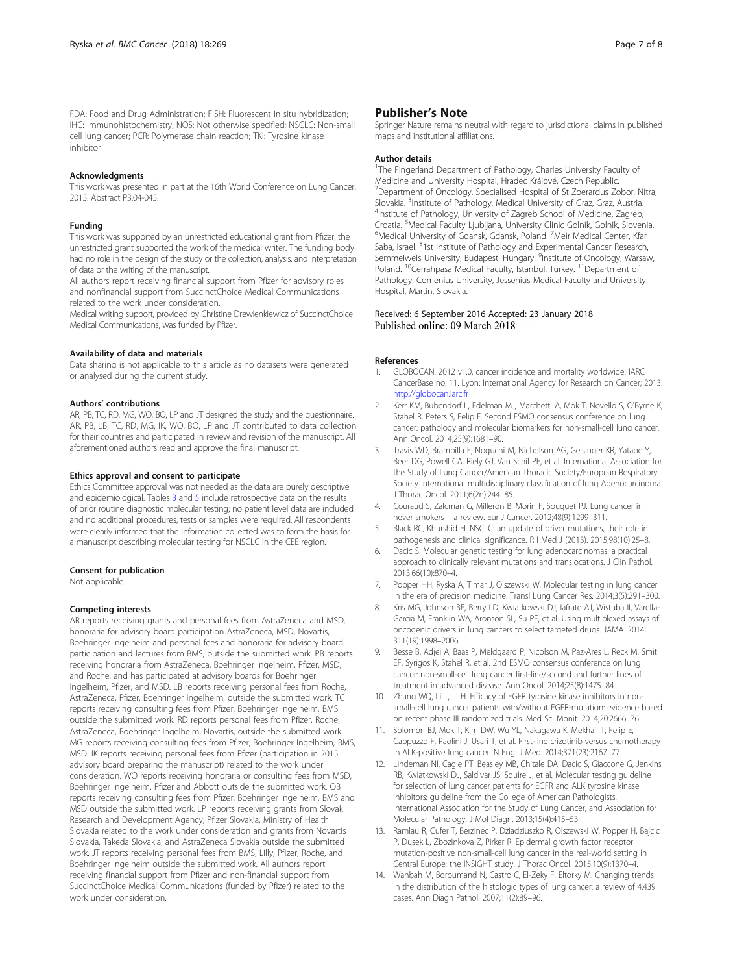FDA: Food and Drug Administration; FISH: Fluorescent in situ hybridization; IHC: Immunohistochemistry; NOS: Not otherwise specified; NSCLC: Non-small cell lung cancer; PCR: Polymerase chain reaction; TKI: Tyrosine kinase inhibitor

#### Acknowledgments

This work was presented in part at the 16th World Conference on Lung Cancer, 2015. Abstract P3.04-045.

#### Funding

This work was supported by an unrestricted educational grant from Pfizer; the unrestricted grant supported the work of the medical writer. The funding body had no role in the design of the study or the collection, analysis, and interpretation of data or the writing of the manuscript.

All authors report receiving financial support from Pfizer for advisory roles and nonfinancial support from SuccinctChoice Medical Communications related to the work under consideration.

Medical writing support, provided by Christine Drewienkiewicz of SuccinctChoice Medical Communications, was funded by Pfizer.

#### Availability of data and materials

Data sharing is not applicable to this article as no datasets were generated or analysed during the current study.

#### Authors' contributions

AR, PB, TC, RD, MG, WO, BO, LP and JT designed the study and the questionnaire. AR, PB, LB, TC, RD, MG, IK, WO, BO, LP and JT contributed to data collection for their countries and participated in review and revision of the manuscript. All aforementioned authors read and approve the final manuscript.

#### Ethics approval and consent to participate

Ethics Committee approval was not needed as the data are purely descriptive and epidemiological. Tables 3 and 5 include retrospective data on the results of prior routine diagnostic molecular testing; no patient level data are included and no additional procedures, tests or samples were required. All respondents were clearly informed that the information collected was to form the basis for a manuscript describing molecular testing for NSCLC in the CEE region.

#### Consent for publication

Not applicable.

#### Competing interests

AR reports receiving grants and personal fees from AstraZeneca and MSD, honoraria for advisory board participation AstraZeneca, MSD, Novartis, Boehringer Ingelheim and personal fees and honoraria for advisory board participation and lectures from BMS, outside the submitted work. PB reports receiving honoraria from AstraZeneca, Boehringer Ingelheim, Pfizer, MSD, and Roche, and has participated at advisory boards for Boehringer Ingelheim, Pfizer, and MSD. LB reports receiving personal fees from Roche, AstraZeneca, Pfizer, Boehringer Ingelheim, outside the submitted work. TC reports receiving consulting fees from Pfizer, Boehringer Ingelheim, BMS outside the submitted work. RD reports personal fees from Pfizer, Roche, AstraZeneca, Boehringer Ingelheim, Novartis, outside the submitted work. MG reports receiving consulting fees from Pfizer, Boehringer Ingelheim, BMS, MSD. IK reports receiving personal fees from Pfizer (participation in 2015 advisory board preparing the manuscript) related to the work under consideration. WO reports receiving honoraria or consulting fees from MSD, Boehringer Ingelheim, Pfizer and Abbott outside the submitted work. OB reports receiving consulting fees from Pfizer, Boehringer Ingelheim, BMS and MSD outside the submitted work. LP reports receiving grants from Slovak Research and Development Agency, Pfizer Slovakia, Ministry of Health Slovakia related to the work under consideration and grants from Novartis Slovakia, Takeda Slovakia, and AstraZeneca Slovakia outside the submitted work. JT reports receiving personal fees from BMS, Lilly, Pfizer, Roche, and Boehringer Ingelheim outside the submitted work. All authors report receiving financial support from Pfizer and non-financial support from SuccinctChoice Medical Communications (funded by Pfizer) related to the work under consideration.

# Publisher's Note

Springer Nature remains neutral with regard to jurisdictional claims in published maps and institutional affiliations.

#### Author details

<sup>1</sup>The Fingerland Department of Pathology, Charles University Faculty of Medicine and University Hospital, Hradec Králové, Czech Republic. <sup>2</sup> Department of Oncology, Specialised Hospital of St Zoerardus Zobor, Nitra, Slovakia. <sup>3</sup>Institute of Pathology, Medical University of Graz, Graz, Austria.<br><sup>4</sup>Institute of Pathology, University of Zagreb School of Medicine. Zagreb. <sup>4</sup>Institute of Pathology, University of Zagreb School of Medicine, Zagreb, Croatia. <sup>5</sup> Medical Faculty Ljubljana, University Clinic Golnik, Golnik, Slovenia.<br><sup>6</sup> Medical University of Gdansk, Gdansk, Poland, <sup>7</sup> Meir Medical Center, Kfar. Medical University of Gdansk, Gdansk, Poland. <sup>7</sup>Meir Medical Center, Kfar Saba, Israel. <sup>8</sup>1st Institute of Pathology and Experimental Cancer Research, Semmelweis University, Budapest, Hungary. <sup>9</sup>Institute of Oncology, Warsaw, Poland. <sup>10</sup>Cerrahpasa Medical Faculty, Istanbul, Turkey. <sup>11</sup>Department of Pathology, Comenius University, Jessenius Medical Faculty and University Hospital, Martin, Slovakia.

#### Received: 6 September 2016 Accepted: 23 January 2018 Published online: 09 March 2018

#### References

- 1. GLOBOCAN. 2012 v1.0, cancer incidence and mortality worldwide: IARC CancerBase no. 11. Lyon: International Agency for Research on Cancer; 2013. http://globocan.jarc.fr
- 2. Kerr KM, Bubendorf L, Edelman MJ, Marchetti A, Mok T, Novello S, O'Byrne K, Stahel R, Peters S, Felip E. Second ESMO consensus conference on lung cancer: pathology and molecular biomarkers for non-small-cell lung cancer. Ann Oncol. 2014;25(9):1681–90.
- 3. Travis WD, Brambilla E, Noguchi M, Nicholson AG, Geisinger KR, Yatabe Y, Beer DG, Powell CA, Riely GJ, Van Schil PE, et al. International Association for the Study of Lung Cancer/American Thoracic Society/European Respiratory Society international multidisciplinary classification of lung Adenocarcinoma. J Thorac Oncol. 2011;6(2n):244–85.
- 4. Couraud S, Zalcman G, Milleron B, Morin F, Souquet PJ. Lung cancer in never smokers – a review. Eur J Cancer. 2012;48(9):1299–311.
- 5. Black RC, Khurshid H. NSCLC: an update of driver mutations, their role in pathogenesis and clinical significance. R I Med J (2013). 2015;98(10):25–8.
- 6. Dacic S. Molecular genetic testing for lung adenocarcinomas: a practical approach to clinically relevant mutations and translocations. J Clin Pathol. 2013;66(10):870–4.
- 7. Popper HH, Ryska A, Timar J, Olszewski W. Molecular testing in lung cancer in the era of precision medicine. Transl Lung Cancer Res. 2014;3(5):291–300.
- 8. Kris MG, Johnson BE, Berry LD, Kwiatkowski DJ, Iafrate AJ, Wistuba II, Varella-Garcia M, Franklin WA, Aronson SL, Su PF, et al. Using multiplexed assays of oncogenic drivers in lung cancers to select targeted drugs. JAMA. 2014; 311(19):1998–2006.
- 9. Besse B, Adjei A, Baas P, Meldgaard P, Nicolson M, Paz-Ares L, Reck M, Smit EF, Syrigos K, Stahel R, et al. 2nd ESMO consensus conference on lung cancer: non-small-cell lung cancer first-line/second and further lines of treatment in advanced disease. Ann Oncol. 2014;25(8):1475–84.
- 10. Zhang WQ, Li T, Li H. Efficacy of EGFR tyrosine kinase inhibitors in nonsmall-cell lung cancer patients with/without EGFR-mutation: evidence based on recent phase III randomized trials. Med Sci Monit. 2014;20:2666–76.
- 11. Solomon BJ, Mok T, Kim DW, Wu YL, Nakagawa K, Mekhail T, Felip E, Cappuzzo F, Paolini J, Usari T, et al. First-line crizotinib versus chemotherapy in ALK-positive lung cancer. N Engl J Med. 2014;371(23):2167–77.
- 12. Lindeman NI, Cagle PT, Beasley MB, Chitale DA, Dacic S, Giaccone G, Jenkins RB, Kwiatkowski DJ, Saldivar JS, Squire J, et al. Molecular testing guideline for selection of lung cancer patients for EGFR and ALK tyrosine kinase inhibitors: guideline from the College of American Pathologists, International Association for the Study of Lung Cancer, and Association for Molecular Pathology. J Mol Diagn. 2013;15(4):415–53.
- 13. Ramlau R, Cufer T, Berzinec P, Dziadziuszko R, Olszewski W, Popper H, Bajcic P, Dusek L, Zbozinkova Z, Pirker R. Epidermal growth factor receptor mutation-positive non-small-cell lung cancer in the real-world setting in Central Europe: the INSIGHT study. J Thorac Oncol. 2015;10(9):1370–4.
- 14. Wahbah M, Boroumand N, Castro C, El-Zeky F, Eltorky M. Changing trends in the distribution of the histologic types of lung cancer: a review of 4,439 cases. Ann Diagn Pathol. 2007;11(2):89–96.